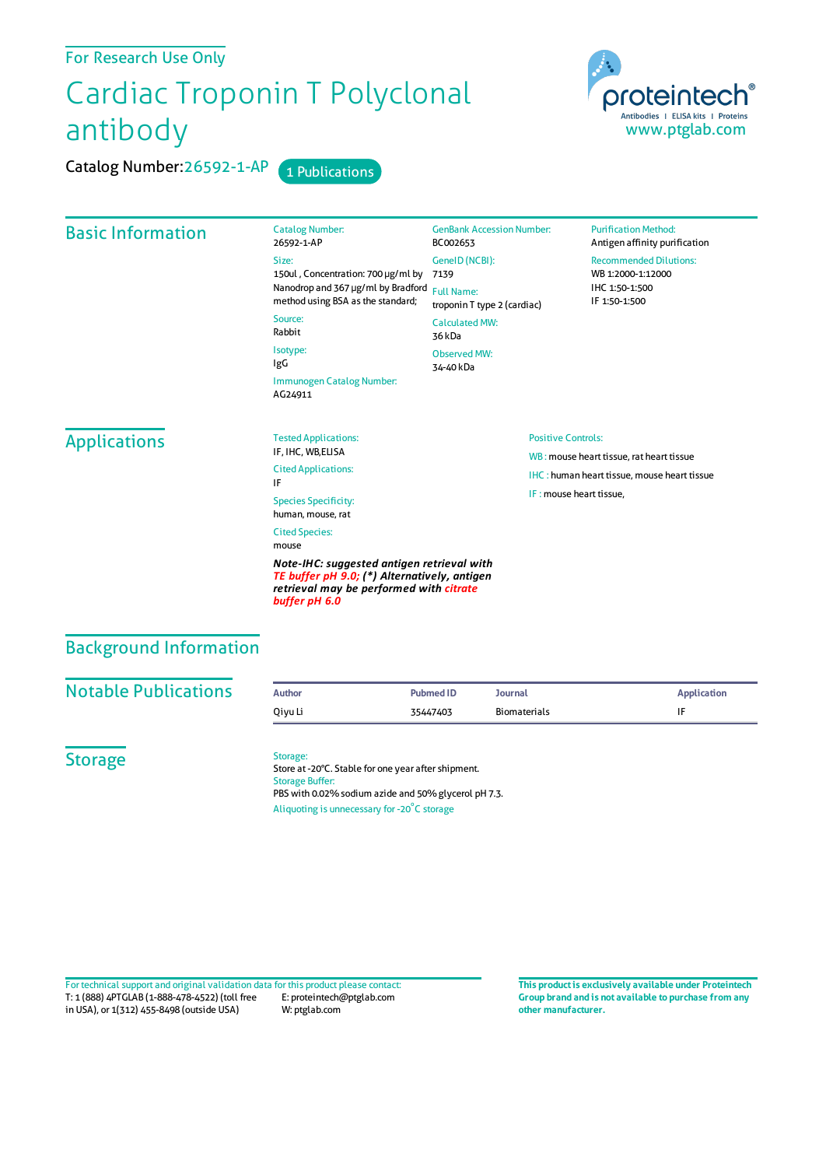#### For Research Use Only

# Cardiac Troponin T Polyclonal antibody

Catalog Number: 26592-1-AP 1 Publications



#### Basic Information Catalog Number: 26592-1-AP Size: 150ul , Concentration: 700 μg/ml by 7139 Nanodrop and 367 μg/ml by Bradford Full Name: method using BSA as the standard; Source: Rabbit Isotype: IgG Immunogen Catalog Number: AG24911 GenBank Accession Number: BC002653 GeneID(NCBI): troponin T type 2 (cardiac) CalculatedMW: 36 kDa Observed MW: 34-40 kDa **Purification Method:** Antigen affinity purification Recommended Dilutions: WB 1:2000-1:12000 IHC 1:50-1:500 IF 1:50-1:500 **Applications** Tested Applications: IF, IHC, WB,ELISA Cited Applications: IF Species Specificity: human, mouse, rat Cited Species: mouse *Note-IHC: suggested antigen retrieval with TE buffer pH 9.0; (\*) Alternatively, antigen* Positive Controls: WB : mouse heart tissue, rat heart tissue IHC : human heart tissue, mouse heart tissue IF : mouse heart tissue,

## Background Information

| <b>Notable Publications</b> | <b>Author</b> | Pubmed ID | Journal      | <b>Application</b> |
|-----------------------------|---------------|-----------|--------------|--------------------|
|                             | Oivu Li       | 35447403  | Biomaterials |                    |

**Storage** 

#### Storage:

*buffer pH 6.0*

Store at -20°C. Stable for one year after shipment. Storage Buffer: PBS with 0.02% sodium azide and 50% glycerol pH 7.3. Aliquoting is unnecessary for -20<sup>°</sup>C storage

*retrieval may be performed with citrate*

T: 1 (888) 4PTGLAB (1-888-478-4522) (toll free in USA), or 1(312) 455-8498 (outside USA) E: proteintech@ptglab.com W: ptglab.com Fortechnical support and original validation data forthis product please contact: **This productis exclusively available under Proteintech**

**Group brand and is not available to purchase from any other manufacturer.**